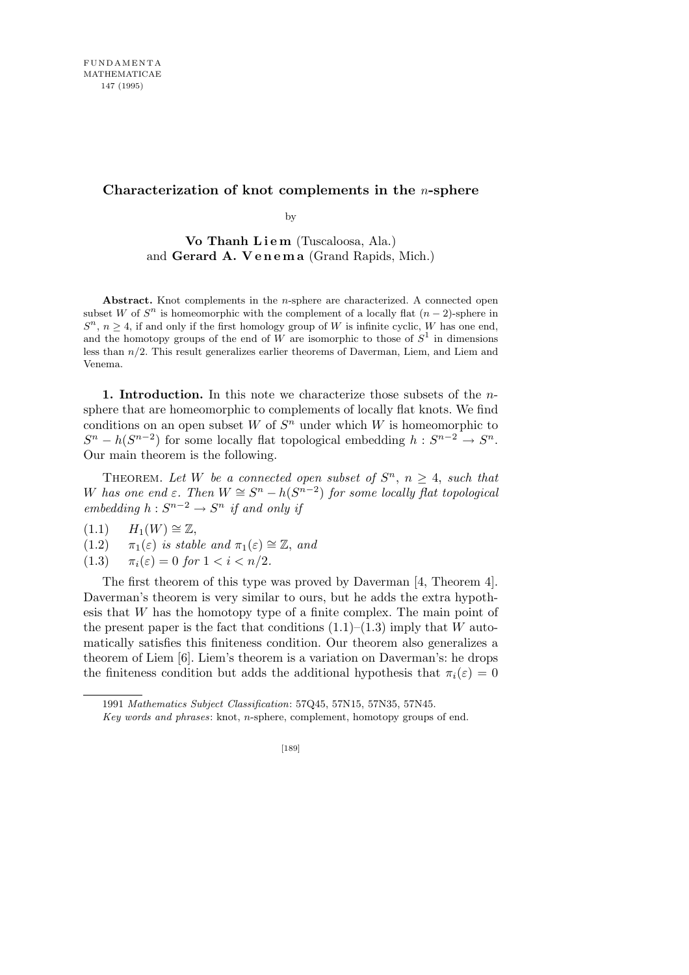## **Characterization of knot complements in the** *n***-sphere**

by

Vo Thanh Liem (Tuscaloosa, Ala.) and **Gerard A. V e n e m a** (Grand Rapids, Mich.)

**Abstract.** Knot complements in the *n*-sphere are characterized. A connected open subset *W* of  $S<sup>n</sup>$  is homeomorphic with the complement of a locally flat  $(n-2)$ -sphere in  $S^{n}$ ,  $n \geq 4$ , if and only if the first homology group of *W* is infinite cyclic, *W* has one end, and the homotopy groups of the end of  $W$  are isomorphic to those of  $S^1$  in dimensions less than *n/*2. This result generalizes earlier theorems of Daverman, Liem, and Liem and Venema.

**1. Introduction.** In this note we characterize those subsets of the *n*sphere that are homeomorphic to complements of locally flat knots. We find conditions on an open subset *W* of  $S<sup>n</sup>$  under which *W* is homeomorphic to  $S^n - h(S^{n-2})$  for some locally flat topological embedding  $h: S^{n-2} \to S^n$ . Our main theorem is the following.

THEOREM. Let *W* be a connected open subset of  $S<sup>n</sup>$ ,  $n \geq 4$ , such that *W* has one end  $\varepsilon$ . Then  $W \cong S^n - h(S^{n-2})$  for some locally flat topological *embedding*  $h: S^{n-2} \to S^n$  *if and only if* 

 $(1.1)$  *H*<sub>1</sub> $(W) \cong \mathbb{Z}$ ,

(1.2) 
$$
\pi_1(\varepsilon)
$$
 is stable and  $\pi_1(\varepsilon) \cong \mathbb{Z}$ , and

(1.3)  $\pi_i(\varepsilon) = 0$  *for*  $1 < i < n/2$ .

The first theorem of this type was proved by Daverman [4, Theorem 4]. Daverman's theorem is very similar to ours, but he adds the extra hypothesis that *W* has the homotopy type of a finite complex. The main point of the present paper is the fact that conditions  $(1.1)$ – $(1.3)$  imply that *W* automatically satisfies this finiteness condition. Our theorem also generalizes a theorem of Liem [6]. Liem's theorem is a variation on Daverman's: he drops the finiteness condition but adds the additional hypothesis that  $\pi_i(\varepsilon) = 0$ 

<sup>1991</sup> *Mathematics Subject Classification*: 57Q45, 57N15, 57N35, 57N45.

*Key words and phrases*: knot, *n*-sphere, complement, homotopy groups of end.

<sup>[189]</sup>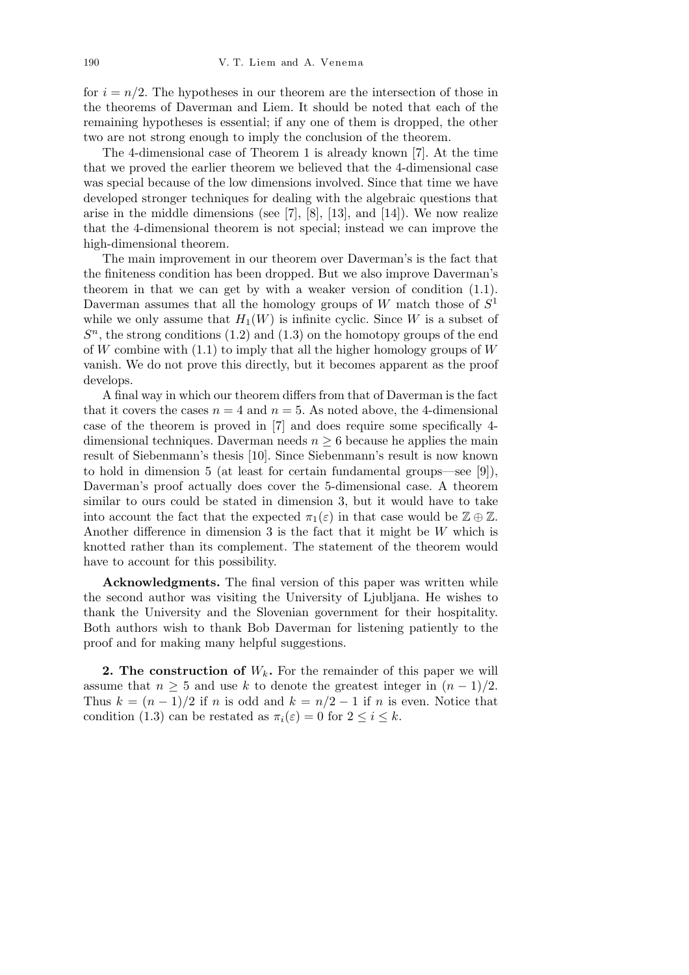for  $i = n/2$ . The hypotheses in our theorem are the intersection of those in the theorems of Daverman and Liem. It should be noted that each of the remaining hypotheses is essential; if any one of them is dropped, the other two are not strong enough to imply the conclusion of the theorem.

The 4-dimensional case of Theorem 1 is already known [7]. At the time that we proved the earlier theorem we believed that the 4-dimensional case was special because of the low dimensions involved. Since that time we have developed stronger techniques for dealing with the algebraic questions that arise in the middle dimensions (see  $[7]$ ,  $[8]$ ,  $[13]$ , and  $[14]$ ). We now realize that the 4-dimensional theorem is not special; instead we can improve the high-dimensional theorem.

The main improvement in our theorem over Daverman's is the fact that the finiteness condition has been dropped. But we also improve Daverman's theorem in that we can get by with a weaker version of condition (1.1). Daverman assumes that all the homology groups of *W* match those of *S* 1 while we only assume that  $H_1(W)$  is infinite cyclic. Since *W* is a subset of  $S<sup>n</sup>$ , the strong conditions (1.2) and (1.3) on the homotopy groups of the end of *W* combine with (1.1) to imply that all the higher homology groups of *W* vanish. We do not prove this directly, but it becomes apparent as the proof develops.

A final way in which our theorem differs from that of Daverman is the fact that it covers the cases  $n = 4$  and  $n = 5$ . As noted above, the 4-dimensional case of the theorem is proved in [7] and does require some specifically 4 dimensional techniques. Daverman needs  $n \geq 6$  because he applies the main result of Siebenmann's thesis [10]. Since Siebenmann's result is now known to hold in dimension 5 (at least for certain fundamental groups—see [9]), Daverman's proof actually does cover the 5-dimensional case. A theorem similar to ours could be stated in dimension 3, but it would have to take into account the fact that the expected  $\pi_1(\varepsilon)$  in that case would be  $\mathbb{Z} \oplus \mathbb{Z}$ . Another difference in dimension 3 is the fact that it might be *W* which is knotted rather than its complement. The statement of the theorem would have to account for this possibility.

**Acknowledgments.** The final version of this paper was written while the second author was visiting the University of Ljubljana. He wishes to thank the University and the Slovenian government for their hospitality. Both authors wish to thank Bob Daverman for listening patiently to the proof and for making many helpful suggestions.

**2. The construction of** *Wk***.** For the remainder of this paper we will assume that  $n \geq 5$  and use k to denote the greatest integer in  $(n-1)/2$ . Thus  $k = (n-1)/2$  if *n* is odd and  $k = n/2 - 1$  if *n* is even. Notice that condition (1.3) can be restated as  $\pi_i(\varepsilon) = 0$  for  $2 \leq i \leq k$ .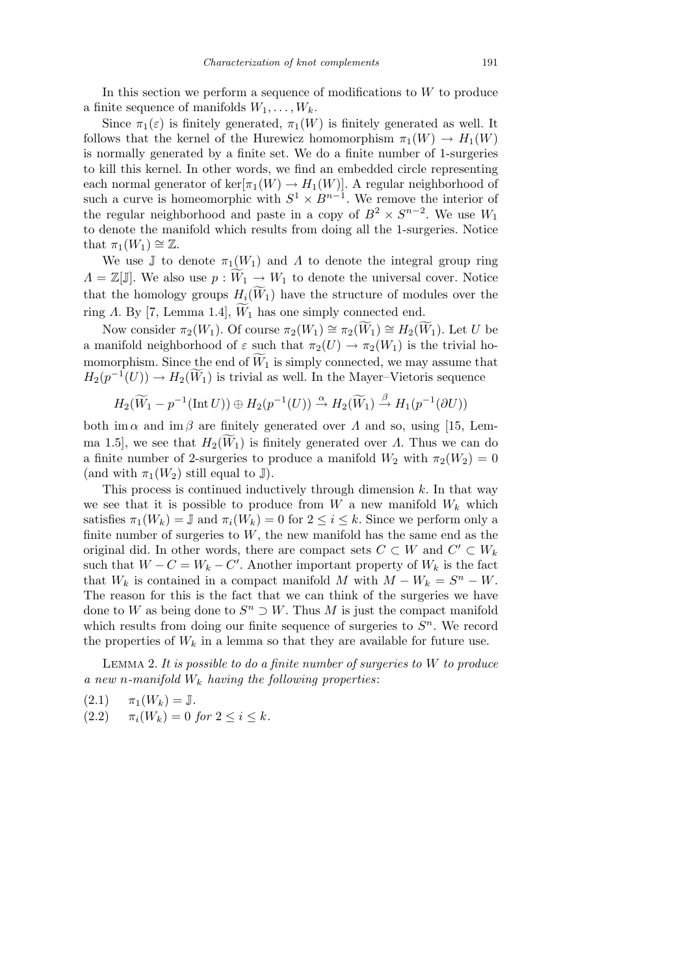In this section we perform a sequence of modifications to *W* to produce a finite sequence of manifolds  $W_1, \ldots, W_k$ .

Since  $\pi_1(\varepsilon)$  is finitely generated,  $\pi_1(W)$  is finitely generated as well. It follows that the kernel of the Hurewicz homomorphism  $\pi_1(W) \to H_1(W)$ is normally generated by a finite set. We do a finite number of 1-surgeries to kill this kernel. In other words, we find an embedded circle representing each normal generator of  $\ker[\pi_1(W) \to H_1(W)]$ . A regular neighborhood of such a curve is homeomorphic with  $S^1 \times B^{n-1}$ . We remove the interior of the regular neighborhood and paste in a copy of  $B^2 \times S^{n-2}$ . We use  $W_1$ to denote the manifold which results from doing all the 1-surgeries. Notice that  $\pi_1(W_1) \cong \mathbb{Z}$ .

We use  $\mathbb{J}$  to denote  $\pi_1(W_1)$  and  $\Lambda$  to denote the integral group ring  $Λ = \mathbb{Z}[\mathbb{J}]$ . We also use  $p: W_1 \to W_1$  to denote the universal cover. Notice that the homology groups  $H_i(\widetilde{W}_1)$  have the structure of modules over the ring *Λ*. By [7, Lemma 1.4],  $\widetilde{W}_1$  has one simply connected end.

Now consider  $\pi_2(W_1)$ . Of course  $\pi_2(W_1) \cong \pi_2(W_1) \cong H_2(W_1)$ . Let *U* be a manifold neighborhood of  $\varepsilon$  such that  $\pi_2(U) \to \pi_2(W_1)$  is the trivial homomorphism. Since the end of  $\widetilde{W}_1$  is simply connected, we may assume that  $H_2(p^{-1}(U)) \to H_2(\widetilde{W}_1)$  is trivial as well. In the Mayer–Vietoris sequence

$$
H_2(\widetilde{W}_1 - p^{-1}(\text{Int } U)) \oplus H_2(p^{-1}(U)) \stackrel{\alpha}{\rightarrow} H_2(\widetilde{W}_1) \stackrel{\beta}{\rightarrow} H_1(p^{-1}(\partial U))
$$

both im  $\alpha$  and im  $\beta$  are finitely generated over  $\Lambda$  and so, using [15, Lemma 1.5], we see that  $H_2(W_1)$  is finitely generated over *Λ*. Thus we can do a finite number of 2-surgeries to produce a manifold  $W_2$  with  $\pi_2(W_2) = 0$ (and with  $\pi_1(W_2)$  still equal to J).

This process is continued inductively through dimension *k*. In that way we see that it is possible to produce from W a new manifold  $W_k$  which satisfies  $\pi_1(W_k) = \mathbb{J}$  and  $\pi_i(W_k) = 0$  for  $2 \leq i \leq k$ . Since we perform only a finite number of surgeries to *W*, the new manifold has the same end as the original did. In other words, there are compact sets  $C \subset W$  and  $C' \subset W_k$ such that  $W - C = W_k - C'$ . Another important property of  $W_k$  is the fact that  $W_k$  is contained in a compact manifold *M* with  $M - W_k = S^n - W$ . The reason for this is the fact that we can think of the surgeries we have done to *W* as being done to  $S^n \supset W$ . Thus *M* is just the compact manifold which results from doing our finite sequence of surgeries to  $S<sup>n</sup>$ . We record the properties of  $W_k$  in a lemma so that they are available for future use.

Lemma 2. *It is possible to do a finite number of surgeries to W to produce a new n-manifold W<sup>k</sup> having the following properties*:

$$
\begin{aligned} \text{(2.1)} \qquad &\pi_1(W_k) = \mathbb{J}.\\ \text{(2.2)} \qquad &\pi_i(W_k) = 0 \text{ for } 2 \le i \le k. \end{aligned}
$$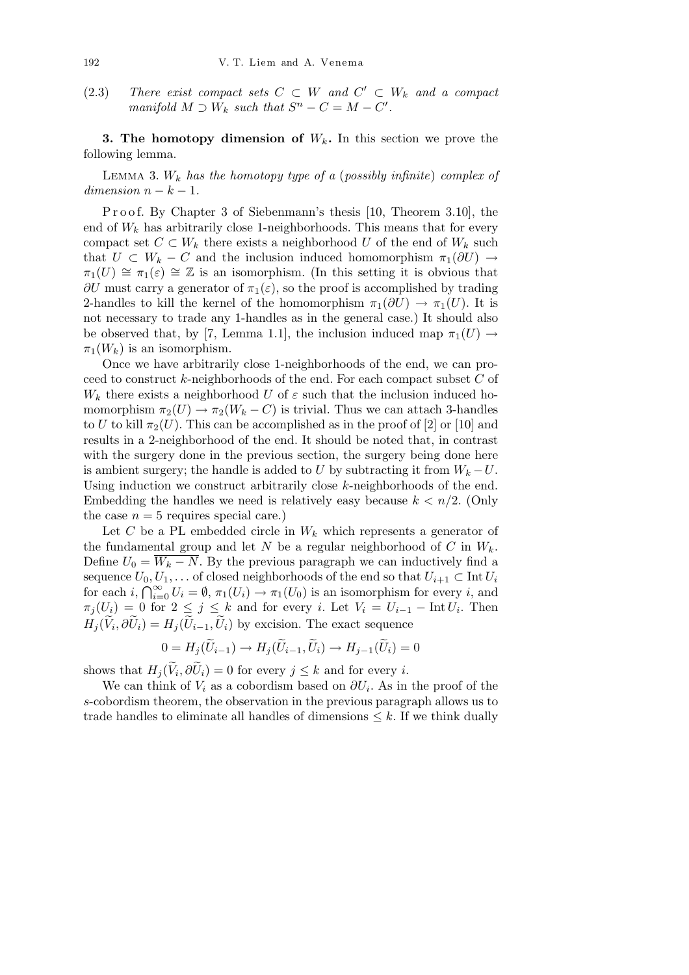(2.3) *There exist compact sets*  $C \subset W$  *and*  $C' \subset W_k$  *and a compact manifold*  $M \supset W_k$  *such that*  $S^n - C = M - C'$ .

**3. The homotopy dimension of** *Wk***.** In this section we prove the following lemma.

Lemma 3. *W<sup>k</sup> has the homotopy type of a* (*possibly infinite*) *complex of*  $dimension \, n-k-1.$ 

Proof. By Chapter 3 of Siebenmann's thesis [10, Theorem 3.10], the end of  $W_k$  has arbitrarily close 1-neighborhoods. This means that for every compact set  $C \subset W_k$  there exists a neighborhood  $U$  of the end of  $W_k$  such that  $U \subset W_k - C$  and the inclusion induced homomorphism  $\pi_1(\partial U) \to$  $\pi_1(U) \cong \pi_1(\varepsilon) \cong \mathbb{Z}$  is an isomorphism. (In this setting it is obvious that  $\partial U$  must carry a generator of  $\pi_1(\varepsilon)$ , so the proof is accomplished by trading 2-handles to kill the kernel of the homomorphism  $\pi_1(\partial U) \to \pi_1(U)$ . It is not necessary to trade any 1-handles as in the general case.) It should also be observed that, by [7, Lemma 1.1], the inclusion induced map  $\pi_1(U) \rightarrow$  $\pi_1(W_k)$  is an isomorphism.

Once we have arbitrarily close 1-neighborhoods of the end, we can proceed to construct *k*-neighborhoods of the end. For each compact subset *C* of  $W_k$  there exists a neighborhood *U* of  $\varepsilon$  such that the inclusion induced homomorphism  $\pi_2(U) \to \pi_2(W_k - C)$  is trivial. Thus we can attach 3-handles to *U* to kill  $\pi_2(U)$ . This can be accomplished as in the proof of [2] or [10] and results in a 2-neighborhood of the end. It should be noted that, in contrast with the surgery done in the previous section, the surgery being done here is ambient surgery; the handle is added to *U* by subtracting it from  $W_k - U$ . Using induction we construct arbitrarily close *k*-neighborhoods of the end. Embedding the handles we need is relatively easy because  $k < n/2$ . (Only the case  $n = 5$  requires special care.)

Let *C* be a PL embedded circle in  $W_k$  which represents a generator of the fundamental group and let *N* be a regular neighborhood of *C* in  $W_k$ . Define  $U_0 = \overline{W_k - N}$ . By the previous paragraph we can inductively find a sequence  $U_0, U_1, \ldots$  of closed neighborhoods of the end so that  $U_{i+1} \subset \text{Int } U_i$ <br>  $\Omega_{\text{max}} \subset \Omega_{\text{max}}$ for each *i*,  $\bigcap_{i=0}^{\infty} U_i = \emptyset$ ,  $\pi_1(U_i) \to \pi_1(U_0)$  is an isomorphism for every *i*, and  $\pi_j(U_i) = 0$  for  $2 \leq j \leq k$  and for every *i*. Let  $V_i = U_{i-1} - \text{Int } U_i$ . Then  $H_j(\widetilde{V}_i, \partial \widetilde{U}_i) = H_j(\widetilde{U}_{i-1}, \widetilde{U}_i)$  by excision. The exact sequence

$$
0 = H_j(\widetilde{U}_{i-1}) \to H_j(\widetilde{U}_{i-1}, \widetilde{U}_i) \to H_{j-1}(\widetilde{U}_i) = 0
$$

shows that  $H_j(\widetilde{V}_i, \partial \widetilde{U}_i) = 0$  for every  $j \leq k$  and for every *i*.

We can think of  $V_i$  as a cobordism based on  $\partial U_i$ . As in the proof of the *s*-cobordism theorem, the observation in the previous paragraph allows us to trade handles to eliminate all handles of dimensions  $\leq k$ . If we think dually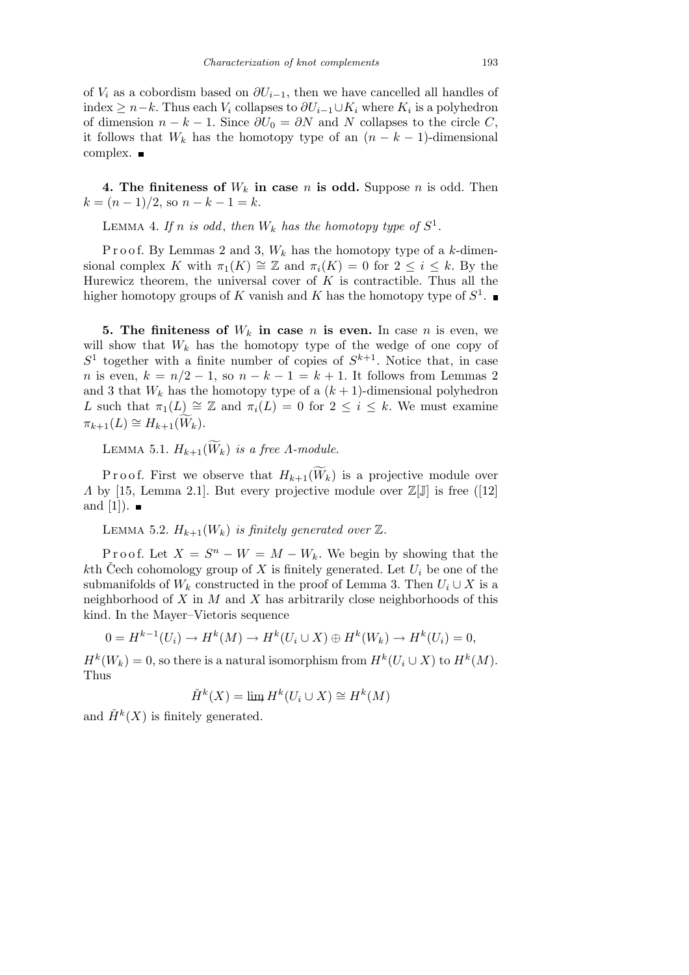of  $V_i$  as a cobordism based on  $\partial U_{i-1}$ , then we have cancelled all handles of index  $≥ n-k$ . Thus each  $V_i$  collapses to  $\partial U_{i-1} \cup K_i$  where  $K_i$  is a polyhedron of dimension  $n - k - 1$ . Since  $\partial U_0 = \partial N$  and N collapses to the circle C, it follows that  $W_k$  has the homotopy type of an  $(n - k - 1)$ -dimensional complex. ■

**4. The finiteness of**  $W_k$  in case *n* is odd. Suppose *n* is odd. Then  $k = (n-1)/2$ , so  $n - k - 1 = k$ .

LEMMA 4. If *n* is odd, then  $W_k$  has the homotopy type of  $S^1$ .

Proof. By Lemmas 2 and 3,  $W_k$  has the homotopy type of a *k*-dimensional complex *K* with  $\pi_1(K) \cong \mathbb{Z}$  and  $\pi_i(K) = 0$  for  $2 \leq i \leq k$ . By the Hurewicz theorem, the universal cover of *K* is contractible. Thus all the higher homotopy groups of *K* vanish and *K* has the homotopy type of *S* 1 .

**5.** The finiteness of  $W_k$  in case *n* is even. In case *n* is even, we will show that  $W_k$  has the homotopy type of the wedge of one copy of  $S<sup>1</sup>$  together with a finite number of copies of  $S<sup>k+1</sup>$ . Notice that, in case *n* is even,  $k = n/2 - 1$ , so  $n - k - 1 = k + 1$ . It follows from Lemmas 2 and 3 that  $W_k$  has the homotopy type of a  $(k+1)$ -dimensional polyhedron *L* such that  $\pi_1(L) \cong \mathbb{Z}$  and  $\pi_i(L) = 0$  for  $2 \leq i \leq k$ . We must examine  $\pi_{k+1}(L) \cong H_{k+1}(W_k).$ 

LEMMA 5.1.  $H_{k+1}(\widetilde{W}_k)$  *is a free A-module.* 

P r o o f. First we observe that  $H_{k+1}(\widetilde{W}_k)$  is a projective module over *Λ* by [15, Lemma 2.1]. But every projective module over  $\mathbb{Z}[\mathbb{J}]$  is free ([12] and [1]).  $\blacksquare$ 

LEMMA 5.2.  $H_{k+1}(W_k)$  *is finitely generated over*  $\mathbb{Z}$ *.* 

Proof. Let  $X = S^n - W = M - W_k$ . We begin by showing that the *k*th Čech cohomology group of X is finitely generated. Let  $U_i$  be one of the submanifolds of  $W_k$  constructed in the proof of Lemma 3. Then  $U_i \cup X$  is a neighborhood of *X* in *M* and *X* has arbitrarily close neighborhoods of this kind. In the Mayer–Vietoris sequence

$$
0 = H^{k-1}(U_i) \to H^k(M) \to H^k(U_i \cup X) \oplus H^k(W_k) \to H^k(U_i) = 0,
$$

 $H^k(W_k) = 0$ , so there is a natural isomorphism from  $H^k(U_i \cup X)$  to  $H^k(M)$ . Thus

$$
\check{H}^k(X) = \lim H^k(U_i \cup X) \cong H^k(M)
$$

and  $\check{H}^k(X)$  is finitely generated.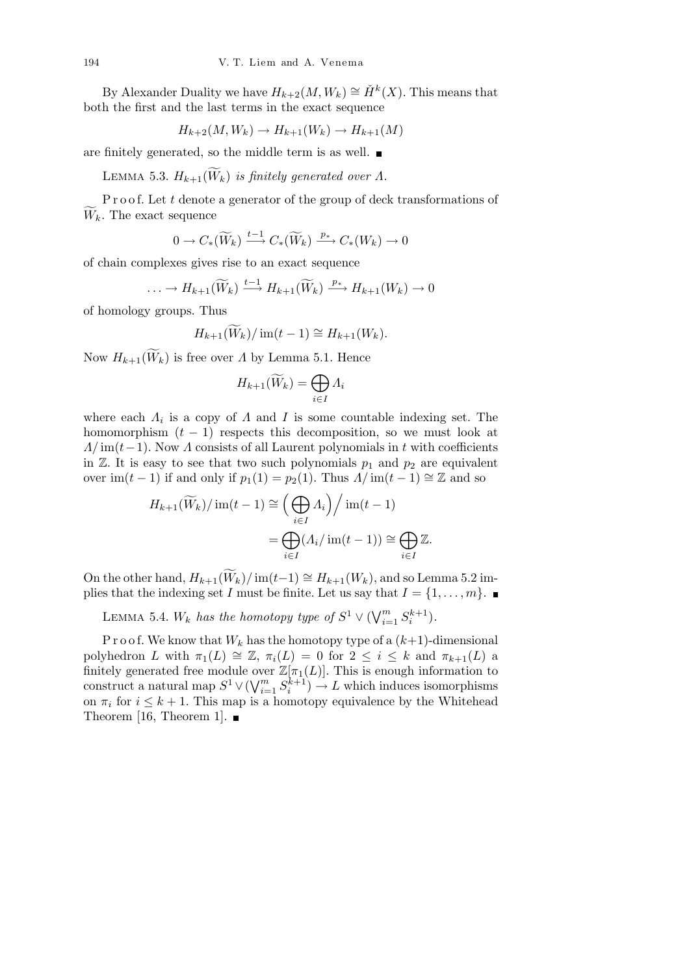By Alexander Duality we have  $H_{k+2}(M, W_k) \cong \check{H}^k(X)$ . This means that both the first and the last terms in the exact sequence

$$
H_{k+2}(M, W_k) \to H_{k+1}(W_k) \to H_{k+1}(M)
$$

are finitely generated, so the middle term is as well.

LEMMA 5.3.  $H_{k+1}(\widetilde{W}_k)$  *is finitely generated over*  $\Lambda$ .

P r o o f. Let *t* denote a generator of the group of deck transformations of  $\widetilde{W}_k$ . The exact sequence

$$
0 \to C_*(\widetilde{W}_k) \xrightarrow{t-1} C_*(\widetilde{W}_k) \xrightarrow{p_*} C_*(W_k) \to 0
$$

of chain complexes gives rise to an exact sequence

$$
\ldots \to H_{k+1}(\widetilde{W}_k) \xrightarrow{t-1} H_{k+1}(\widetilde{W}_k) \xrightarrow{p_*} H_{k+1}(W_k) \to 0
$$

of homology groups. Thus

$$
H_{k+1}(\widetilde{W}_k)/\operatorname{im}(t-1) \cong H_{k+1}(W_k).
$$

Now  $H_{k+1}(\widetilde{W}_k)$  is free over *Λ* by Lemma 5.1. Hence

$$
H_{k+1}(\widetilde{W}_k) = \bigoplus_{i \in I} \Lambda_i
$$

where each  $\Lambda_i$  is a copy of  $\Lambda$  and  $I$  is some countable indexing set. The homomorphism  $(t - 1)$  respects this decomposition, so we must look at *Λ/* im(*t* − 1). Now *Λ* consists of all Laurent polynomials in *t* with coefficients in  $\mathbb{Z}$ . It is easy to see that two such polynomials  $p_1$  and  $p_2$  are equivalent over im( $t$  − 1) if and only if  $p_1(1) = p_2(1)$ . Thus  $\Lambda/\text{im}(t-1) \cong \mathbb{Z}$  and so

$$
H_{k+1}(\widetilde{W}_k)/\operatorname{im}(t-1) \cong \left(\bigoplus_{i\in I} \Lambda_i\right)/\operatorname{im}(t-1)
$$

$$
= \bigoplus_{i\in I} (\Lambda_i/\operatorname{im}(t-1)) \cong \bigoplus_{i\in I} \mathbb{Z}.
$$

On the other hand,  $H_{k+1}(\widetilde{W}_k)/\text{im}(t-1) \cong H_{k+1}(W_k)$ , and so Lemma 5.2 implies that the indexing set *I* must be finite. Let us say that  $I = \{1, \ldots, m\}$ .

LEMMA 5.4.  $W_k$  *has the homotopy type of*  $S^1 \vee (\bigvee_{i=1}^m S^i)$  $\sum_{i=1}^{m} S_i^{k+1}$ .

P r o o f. We know that  $W_k$  has the homotopy type of a  $(k+1)$ -dimensional polyhedron *L* with  $\pi_1(L) \cong \mathbb{Z}$ ,  $\pi_i(L) = 0$  for  $2 \leq i \leq k$  and  $\pi_{k+1}(L)$  a finitely generated free module over  $\mathbb{Z}[\pi_1(L)]$ . This is enough information to construct a natural map *S* <sup>1</sup> *∨*( W*<sup>m</sup>*  $\sum_{i=1}^{m} S_i^{k+1}$   $\rightarrow$  *L* which induces isomorphisms on  $\pi_i$  for  $i \leq k+1$ . This map is a homotopy equivalence by the Whitehead Theorem [16, Theorem 1].  $\blacksquare$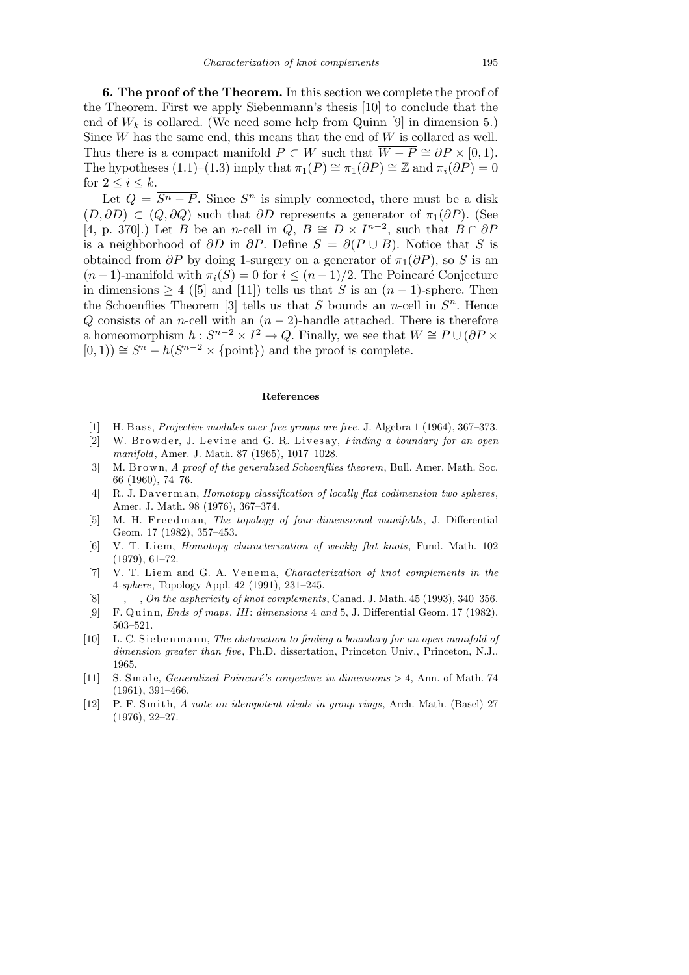**6. The proof of the Theorem.** In this section we complete the proof of the Theorem. First we apply Siebenmann's thesis [10] to conclude that the end of  $W_k$  is collared. (We need some help from Quinn [9] in dimension 5.) Since *W* has the same end, this means that the end of *W* is collared as well. Thus there is a compact manifold  $P \subset W$  such that  $\overline{W - P} \cong \partial P \times [0, 1)$ . The hypotheses (1.1)–(1.3) imply that  $\pi_1(P) \cong \pi_1(\partial P) \cong \mathbb{Z}$  and  $\pi_i(\partial P) = 0$ for  $2 \leq i \leq k$ .

Let  $Q = \overline{S^n - P}$ . Since  $S^n$  is simply connected, there must be a disk  $(D, \partial D)$  ⊂  $(Q, \partial Q)$  such that  $\partial D$  represents a generator of  $\pi_1(\partial P)$ . (See  $[4, p. 370]$ .) Let *B* be an *n*-cell in  $\overline{Q}$ ,  $B \cong D \times I^{n-2}$ , such that  $B \cap \partial P$ is a neighborhood of  $\partial D$  in  $\partial P$ . Define  $S = \partial (P \cup B)$ . Notice that *S* is obtained from  $\partial P$  by doing 1-surgery on a generator of  $\pi_1(\partial P)$ , so *S* is an  $(n-1)$ -manifold with  $\pi_i(S) = 0$  for  $i \leq (n-1)/2$ . The Poincaré Conjecture in dimensions *≥* 4 ([5] and [11]) tells us that *S* is an (*n −* 1)-sphere. Then the Schoenflies Theorem [3] tells us that *S* bounds an *n*-cell in  $S<sup>n</sup>$ . Hence *Q* consists of an *n*-cell with an (*n* − 2)-handle attached. There is therefore a homeomorphism  $h: S^{n-2} \times I^2 \to Q$ . Finally, we see that  $W \cong P \cup (\partial P \times P)$  $[0, 1)$   $\cong$   $S<sup>n</sup> − h(S<sup>n-2</sup> × {point})$  and the proof is complete.

## **References**

- [1] H. B ass, *Projective modules over free groups are free*, J. Algebra 1 (1964), 367–373.
- [2] W. Browder, J. Levine and G. R. Livesay, *Finding a boundary for an open manifold*, Amer. J. Math. 87 (1965), 1017–1028.
- [3] M. B r own, *A proof of the generalized Schoenflies theorem*, Bull. Amer. Math. Soc. 66 (1960), 74–76.
- [4] R. J. Daverman, *Homotopy classification of locally flat codimension two spheres*, Amer. J. Math. 98 (1976), 367–374.
- [5] M. H. Freedman, *The topology of four-dimensional manifolds*, J. Differential Geom. 17 (1982), 357–453.
- [6] V. T. Li em, *Homotopy characterization of weakly flat knots*, Fund. Math. 102 (1979), 61–72.
- [7] V. T. Liem and G. A. Venema, *Characterization of knot complements in the* 4*-sphere*, Topology Appl. 42 (1991), 231–245.
- [8] —, —, *On the asphericity of knot complements*, Canad. J. Math. 45 (1993), 340–356.
- [9] F. Q ui n n, *Ends of maps*, *III*: *dimensions* 4 *and* 5, J. Differential Geom. 17 (1982), 503–521.
- [10] L. C. Siebenmann, *The obstruction to finding a boundary for an open manifold of dimension greater than five*, Ph.D. dissertation, Princeton Univ., Princeton, N.J., 1965.
- [11] S. Smale, *Generalized Poincaré's conjecture in dimensions*  $> 4$ , Ann. of Math. 74 (1961), 391–466.
- [12] P. F. Smith, *A note on idempotent ideals in group rings*, Arch. Math. (Basel) 27 (1976), 22–27.